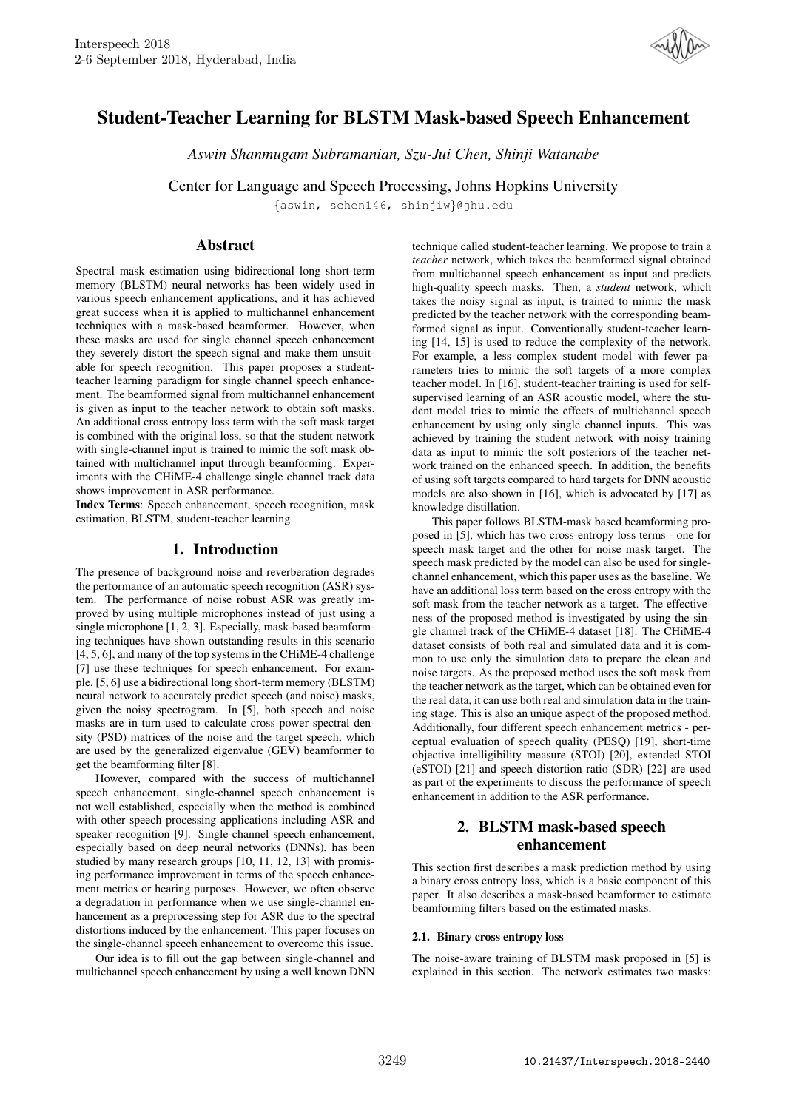

# Student-Teacher Learning for BLSTM Mask-based Speech Enhancement

*Aswin Shanmugam Subramanian, Szu-Jui Chen, Shinji Watanabe*

Center for Language and Speech Processing, Johns Hopkins University

{aswin, schen146, shinjiw}@jhu.edu

# **Abstract**

Spectral mask estimation using bidirectional long short-term memory (BLSTM) neural networks has been widely used in various speech enhancement applications, and it has achieved great success when it is applied to multichannel enhancement techniques with a mask-based beamformer. However, when these masks are used for single channel speech enhancement they severely distort the speech signal and make them unsuitable for speech recognition. This paper proposes a studentteacher learning paradigm for single channel speech enhancement. The beamformed signal from multichannel enhancement is given as input to the teacher network to obtain soft masks. An additional cross-entropy loss term with the soft mask target is combined with the original loss, so that the student network with single-channel input is trained to mimic the soft mask obtained with multichannel input through beamforming. Experiments with the CHiME-4 challenge single channel track data shows improvement in ASR performance.

Index Terms: Speech enhancement, speech recognition, mask estimation, BLSTM, student-teacher learning

# 1. Introduction

The presence of background noise and reverberation degrades the performance of an automatic speech recognition (ASR) system. The performance of noise robust ASR was greatly improved by using multiple microphones instead of just using a single microphone [1, 2, 3]. Especially, mask-based beamforming techniques have shown outstanding results in this scenario [4, 5, 6], and many of the top systems in the CHiME-4 challenge [7] use these techniques for speech enhancement. For example, [5, 6] use a bidirectional long short-term memory (BLSTM) neural network to accurately predict speech (and noise) masks, given the noisy spectrogram. In [5], both speech and noise masks are in turn used to calculate cross power spectral density (PSD) matrices of the noise and the target speech, which are used by the generalized eigenvalue (GEV) beamformer to get the beamforming filter [8].

However, compared with the success of multichannel speech enhancement, single-channel speech enhancement is not well established, especially when the method is combined with other speech processing applications including ASR and speaker recognition [9]. Single-channel speech enhancement, especially based on deep neural networks (DNNs), has been studied by many research groups [10, 11, 12, 13] with promising performance improvement in terms of the speech enhancement metrics or hearing purposes. However, we often observe a degradation in performance when we use single-channel enhancement as a preprocessing step for ASR due to the spectral distortions induced by the enhancement. This paper focuses on the single-channel speech enhancement to overcome this issue.

Our idea is to fill out the gap between single-channel and multichannel speech enhancement by using a well known DNN technique called student-teacher learning. We propose to train a *teacher* network, which takes the beamformed signal obtained from multichannel speech enhancement as input and predicts high-quality speech masks. Then, a *student* network, which takes the noisy signal as input, is trained to mimic the mask predicted by the teacher network with the corresponding beamformed signal as input. Conventionally student-teacher learning [14, 15] is used to reduce the complexity of the network. For example, a less complex student model with fewer parameters tries to mimic the soft targets of a more complex teacher model. In [16], student-teacher training is used for selfsupervised learning of an ASR acoustic model, where the student model tries to mimic the effects of multichannel speech enhancement by using only single channel inputs. This was achieved by training the student network with noisy training data as input to mimic the soft posteriors of the teacher network trained on the enhanced speech. In addition, the benefits of using soft targets compared to hard targets for DNN acoustic models are also shown in [16], which is advocated by [17] as knowledge distillation.

This paper follows BLSTM-mask based beamforming proposed in [5], which has two cross-entropy loss terms - one for speech mask target and the other for noise mask target. The speech mask predicted by the model can also be used for singlechannel enhancement, which this paper uses as the baseline. We have an additional loss term based on the cross entropy with the soft mask from the teacher network as a target. The effectiveness of the proposed method is investigated by using the single channel track of the CHiME-4 dataset [18]. The CHiME-4 dataset consists of both real and simulated data and it is common to use only the simulation data to prepare the clean and noise targets. As the proposed method uses the soft mask from the teacher network as the target, which can be obtained even for the real data, it can use both real and simulation data in the training stage. This is also an unique aspect of the proposed method. Additionally, four different speech enhancement metrics - perceptual evaluation of speech quality (PESQ) [19], short-time objective intelligibility measure (STOI) [20], extended STOI (eSTOI) [21] and speech distortion ratio (SDR) [22] are used as part of the experiments to discuss the performance of speech enhancement in addition to the ASR performance.

# 2. BLSTM mask-based speech enhancement

This section first describes a mask prediction method by using a binary cross entropy loss, which is a basic component of this paper. It also describes a mask-based beamformer to estimate beamforming filters based on the estimated masks.

#### 2.1. Binary cross entropy loss

The noise-aware training of BLSTM mask proposed in [5] is explained in this section. The network estimates two masks: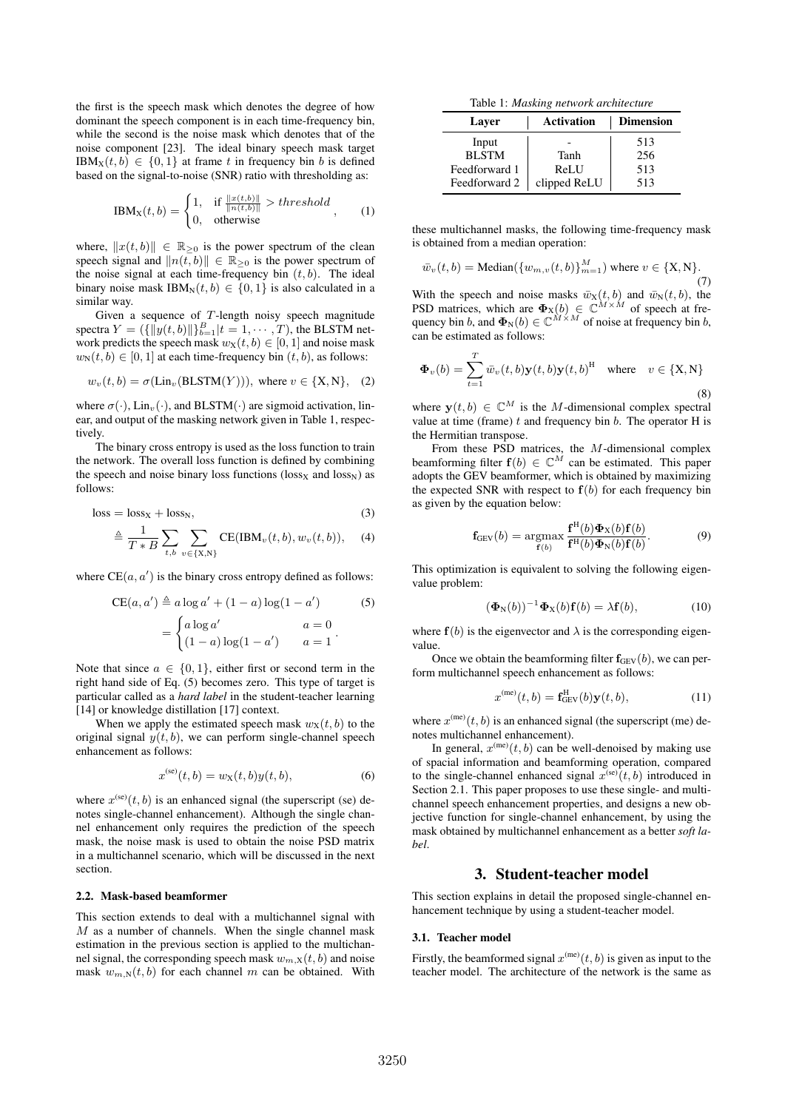the first is the speech mask which denotes the degree of how dominant the speech component is in each time-frequency bin, while the second is the noise mask which denotes that of the noise component [23]. The ideal binary speech mask target  $IBM_x(t, b) \in \{0, 1\}$  at frame t in frequency bin b is defined based on the signal-to-noise (SNR) ratio with thresholding as:

$$
IBM_X(t,b) = \begin{cases} 1, & \text{if } \frac{\|x(t,b)\|}{\|n(t,b)\|} > threshold \\ 0, & \text{otherwise} \end{cases}
$$
 (1)

where,  $||x(t, b)|| \in \mathbb{R}_{\geq 0}$  is the power spectrum of the clean speech signal and  $||n(t, b)|| \in \mathbb{R}_{\geq 0}$  is the power spectrum of the noise signal at each time-frequency bin  $(t, b)$ . The ideal binary noise mask IBM<sub>N</sub> $(t, b) \in \{0, 1\}$  is also calculated in a similar way.

Given a sequence of  $T$ -length noisy speech magnitude spectra  $Y = (\{||y(t, b)||\}_{b=1}^B | t = 1, \dots, T)$ , the BLSTM network predicts the speech mask  $w_x(t, b) \in [0, 1]$  and noise mask  $w_N(t, b) \in [0, 1]$  at each time-frequency bin  $(t, b)$ , as follows:

$$
w_v(t, b) = \sigma(\text{Lin}_v(\text{BLSTM}(Y))), \text{ where } v \in \{X, N\}, \quad (2)
$$

where  $\sigma(\cdot)$ , Lin<sub>v</sub>( $\cdot$ ), and BLSTM( $\cdot$ ) are sigmoid activation, linear, and output of the masking network given in Table 1, respectively.

The binary cross entropy is used as the loss function to train the network. The overall loss function is defined by combining the speech and noise binary loss functions (loss<sub>X</sub> and loss<sub>N</sub>) as follows:

$$
loss = loss_X + loss_N,
$$
\n(3)

$$
\triangleq \frac{1}{T*B} \sum_{t,b} \sum_{v \in \{X,N\}} \text{CE}(\text{IBM}_v(t,b), w_v(t,b)), \quad (4)
$$

where  $CE(a, a')$  is the binary cross entropy defined as follows:

$$
CE(a, a') \triangleq a \log a' + (1 - a) \log(1 - a')
$$
(5)  
= 
$$
\begin{cases} a \log a' & a = 0 \\ (1 - a) \log(1 - a') & a = 1 \end{cases}
$$

Note that since  $a \in \{0, 1\}$ , either first or second term in the right hand side of Eq. (5) becomes zero. This type of target is particular called as a *hard label* in the student-teacher learning [14] or knowledge distillation [17] context.

When we apply the estimated speech mask  $w_x(t, b)$  to the original signal  $y(t, b)$ , we can perform single-channel speech enhancement as follows:

$$
x^{(se)}(t,b) = w_X(t,b)y(t,b),
$$
 (6)

where  $x^{(se)}(t, b)$  is an enhanced signal (the superscript (se) denotes single-channel enhancement). Although the single channel enhancement only requires the prediction of the speech mask, the noise mask is used to obtain the noise PSD matrix in a multichannel scenario, which will be discussed in the next section.

#### 2.2. Mask-based beamformer

This section extends to deal with a multichannel signal with  $M$  as a number of channels. When the single channel mask estimation in the previous section is applied to the multichannel signal, the corresponding speech mask  $w_{m,X}(t, b)$  and noise mask  $w_{m,N}(t, b)$  for each channel m can be obtained. With

Table 1: *Masking network architecture*

| Layer         | <b>Activation</b> | <b>Dimension</b> |  |  |  |
|---------------|-------------------|------------------|--|--|--|
| Input         |                   | 513              |  |  |  |
| <b>BLSTM</b>  | Tanh              | 256              |  |  |  |
| Feedforward 1 | ReLU              | 513              |  |  |  |
| Feedforward 2 | clipped ReLU      | 513              |  |  |  |

these multichannel masks, the following time-frequency mask is obtained from a median operation:

$$
\bar{w}_v(t,b) = \text{Median}(\{w_{m,v}(t,b)\}_{m=1}^M) \text{ where } v \in \{X,N\}. \tag{7}
$$

With the speech and noise masks  $\bar{w}_X(t, b)$  and  $\bar{w}_N(t, b)$ , the PSD matrices, which are  $\Phi_X(b) \in \mathbb{C}^{M \times M}$  of speech at frequency bin b, and  $\Phi_N(b) \in \mathbb{C}^{M \times M}$  of noise at frequency bin b, can be estimated as follows:

$$
\mathbf{\Phi}_v(b) = \sum_{t=1}^T \bar{w}_v(t, b) \mathbf{y}(t, b) \mathbf{y}(t, b)^{\mathrm{H}} \quad \text{where} \quad v \in \{\mathrm{X}, \mathrm{N}\}
$$
\n(8)

where  $y(t, b) \in \mathbb{C}^{M}$  is the *M*-dimensional complex spectral value at time (frame)  $t$  and frequency bin  $b$ . The operator H is the Hermitian transpose.

From these PSD matrices, the M-dimensional complex beamforming filter  $f(b) \in \mathbb{C}^M$  can be estimated. This paper adopts the GEV beamformer, which is obtained by maximizing the expected SNR with respect to  $f(b)$  for each frequency bin as given by the equation below:

$$
\mathbf{f}_{GEV}(b) = \underset{\mathbf{f}(b)}{\operatorname{argmax}} \frac{\mathbf{f}^{H}(b)\mathbf{\Phi}_{X}(b)\mathbf{f}(b)}{\mathbf{f}^{H}(b)\mathbf{\Phi}_{N}(b)\mathbf{f}(b)}.
$$
 (9)

This optimization is equivalent to solving the following eigenvalue problem:

$$
(\Phi_{\mathcal{N}}(b))^{-1}\Phi_{\mathcal{X}}(b)\mathbf{f}(b) = \lambda \mathbf{f}(b), \tag{10}
$$

where  $f(b)$  is the eigenvector and  $\lambda$  is the corresponding eigenvalue.

Once we obtain the beamforming filter  $f_{GEV}(b)$ , we can perform multichannel speech enhancement as follows:

$$
x^{(\text{me})}(t,b) = \mathbf{f}_{\text{GEV}}^{\text{H}}(b)\mathbf{y}(t,b),\tag{11}
$$

where  $x^{(me)}(t, b)$  is an enhanced signal (the superscript (me) denotes multichannel enhancement).

In general,  $x^{(\text{me})}(t, b)$  can be well-denoised by making use of spacial information and beamforming operation, compared to the single-channel enhanced signal  $x^{(se)}(t, b)$  introduced in Section 2.1. This paper proposes to use these single- and multichannel speech enhancement properties, and designs a new objective function for single-channel enhancement, by using the mask obtained by multichannel enhancement as a better *soft label*.

# 3. Student-teacher model

This section explains in detail the proposed single-channel enhancement technique by using a student-teacher model.

#### 3.1. Teacher model

Firstly, the beamformed signal  $x^{(me)}(t, b)$  is given as input to the teacher model. The architecture of the network is the same as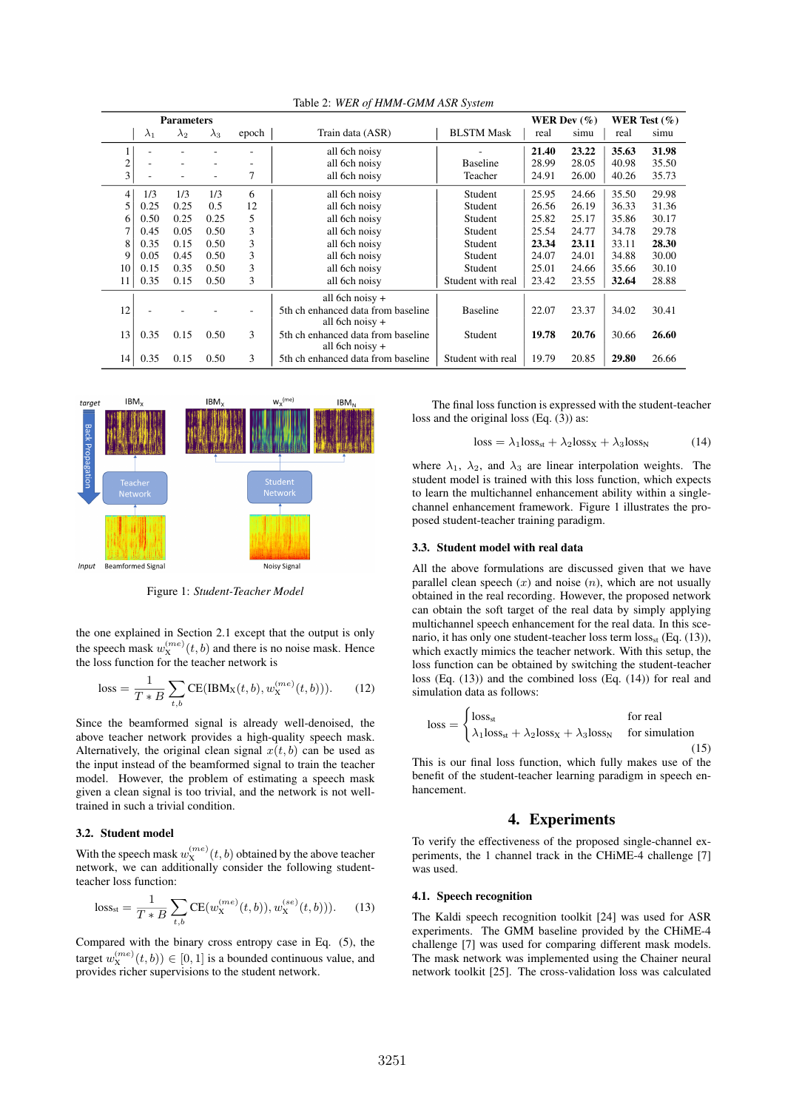|    |             | <b>Parameters</b> |             |       |                                                         | WER Dev $(\%)$    |       |       | WER Test $(\%)$ |       |
|----|-------------|-------------------|-------------|-------|---------------------------------------------------------|-------------------|-------|-------|-----------------|-------|
|    | $\lambda_1$ | $\lambda_2$       | $\lambda_3$ | epoch | Train data (ASR)                                        | <b>BLSTM Mask</b> | real  | simu  | real            | simu  |
|    |             |                   |             |       | all 6ch noisy                                           |                   | 21.40 | 23.22 | 35.63           | 31.98 |
| 2  |             |                   |             |       | all 6ch noisy                                           | <b>Baseline</b>   | 28.99 | 28.05 | 40.98           | 35.50 |
| 3  |             |                   |             | 7     | all 6ch noisy                                           | Teacher           | 24.91 | 26.00 | 40.26           | 35.73 |
| 4  | 1/3         | 1/3               | 1/3         | 6     | all 6ch noisy                                           | Student           | 25.95 | 24.66 | 35.50           | 29.98 |
| 5  | 0.25        | 0.25              | 0.5         | 12    | all 6ch noisy                                           | Student           | 26.56 | 26.19 | 36.33           | 31.36 |
| 6  | 0.50        | 0.25              | 0.25        | 5     | all 6ch noisy                                           | Student           | 25.82 | 25.17 | 35.86           | 30.17 |
| 7  | 0.45        | 0.05              | 0.50        | 3     | all 6ch noisy                                           | Student           | 25.54 | 24.77 | 34.78           | 29.78 |
| 8  | 0.35        | 0.15              | 0.50        | 3     | all 6ch noisy                                           | Student           | 23.34 | 23.11 | 33.11           | 28.30 |
| 9  | 0.05        | 0.45              | 0.50        | 3     | all 6ch noisy                                           | Student           | 24.07 | 24.01 | 34.88           | 30.00 |
| 10 | 0.15        | 0.35              | 0.50        | 3     | all 6ch noisy                                           | Student           | 25.01 | 24.66 | 35.66           | 30.10 |
| 11 | 0.35        | 0.15              | 0.50        | 3     | all 6ch noisy                                           | Student with real | 23.42 | 23.55 | 32.64           | 28.88 |
|    |             |                   |             |       | all 6ch noisy $+$                                       |                   |       |       |                 |       |
| 12 |             |                   |             |       | 5th ch enhanced data from baseline<br>all 6ch noisy $+$ | <b>Baseline</b>   | 22.07 | 23.37 | 34.02           | 30.41 |
| 13 | 0.35        | 0.15              | 0.50        | 3     | 5th ch enhanced data from baseline<br>all 6ch noisy $+$ | Student           | 19.78 | 20.76 | 30.66           | 26.60 |
| 14 | 0.35        | 0.15              | 0.50        | 3     | 5th ch enhanced data from baseline                      | Student with real | 19.79 | 20.85 | 29.80           | 26.66 |

Table 2: *WER of HMM-GMM ASR System*



Figure 1: *Student-Teacher Model*

the one explained in Section 2.1 except that the output is only the speech mask  $w_{\text{X}}^{(me)}(t, b)$  and there is no noise mask. Hence the loss function for the teacher network is

loss = 
$$
\frac{1}{T * B} \sum_{t,b} CE(IBM_X(t,b), w_X^{(me)}(t,b))).
$$
 (12)

Since the beamformed signal is already well-denoised, the above teacher network provides a high-quality speech mask. Alternatively, the original clean signal  $x(t, b)$  can be used as the input instead of the beamformed signal to train the teacher model. However, the problem of estimating a speech mask given a clean signal is too trivial, and the network is not welltrained in such a trivial condition.

### 3.2. Student model

With the speech mask  $w_{\rm X}^{(me)}(t,b)$  obtained by the above teacher network, we can additionally consider the following studentteacher loss function:

loss<sub>st</sub> = 
$$
\frac{1}{T * B} \sum_{t,b} CE(w_{X}^{(me)}(t,b)), w_{X}^{(se)}(t,b))).
$$
 (13)

Compared with the binary cross entropy case in Eq. (5), the target  $w_X^{(me)}(t, b)$ )  $\in [0, 1]$  is a bounded continuous value, and provides richer supervisions to the student network.

The final loss function is expressed with the student-teacher loss and the original loss (Eq. (3)) as:

$$
loss = \lambda_1 loss_{st} + \lambda_2 loss_{X} + \lambda_3 loss_{N}
$$
 (14)

where  $\lambda_1$ ,  $\lambda_2$ , and  $\lambda_3$  are linear interpolation weights. The student model is trained with this loss function, which expects to learn the multichannel enhancement ability within a singlechannel enhancement framework. Figure 1 illustrates the proposed student-teacher training paradigm.

#### 3.3. Student model with real data

All the above formulations are discussed given that we have parallel clean speech  $(x)$  and noise  $(n)$ , which are not usually obtained in the real recording. However, the proposed network can obtain the soft target of the real data by simply applying multichannel speech enhancement for the real data. In this scenario, it has only one student-teacher loss term loss<sub>st</sub> (Eq. (13)), which exactly mimics the teacher network. With this setup, the loss function can be obtained by switching the student-teacher loss (Eq. (13)) and the combined loss (Eq. (14)) for real and simulation data as follows:

$$
loss = \begin{cases} loss_{st} & \text{for real} \\ \lambda_1 loss_{st} + \lambda_2 loss_{X} + \lambda_3 loss_{N} & \text{for simulation} \end{cases}
$$
(15)

This is our final loss function, which fully makes use of the benefit of the student-teacher learning paradigm in speech enhancement.

### 4. Experiments

To verify the effectiveness of the proposed single-channel experiments, the 1 channel track in the CHiME-4 challenge [7] was used.

#### 4.1. Speech recognition

The Kaldi speech recognition toolkit [24] was used for ASR experiments. The GMM baseline provided by the CHiME-4 challenge [7] was used for comparing different mask models. The mask network was implemented using the Chainer neural network toolkit [25]. The cross-validation loss was calculated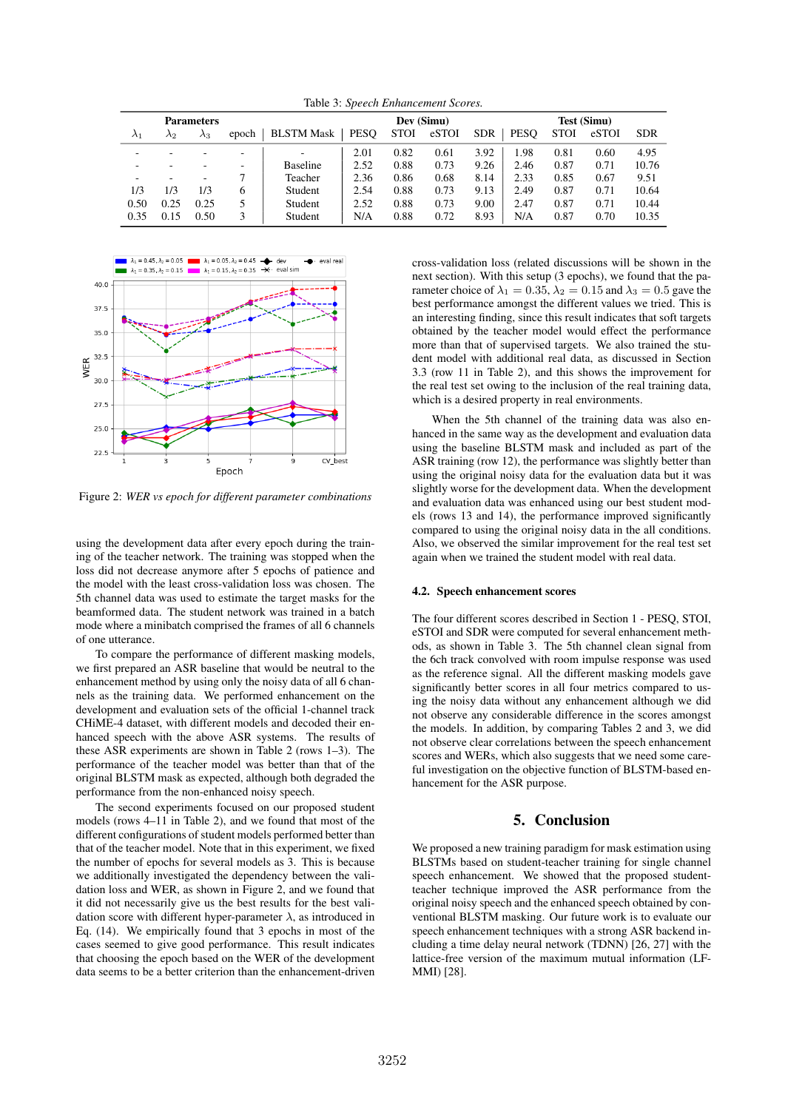Table 3: *Speech Enhancement Scores.*

|             |             | <b>Parameters</b> |                          |                   | Dev (Simu)  |             |       |            | <b>Test (Simu)</b> |             |       |            |
|-------------|-------------|-------------------|--------------------------|-------------------|-------------|-------------|-------|------------|--------------------|-------------|-------|------------|
| $\lambda_1$ | $\lambda_2$ | $\lambda_3$       | epoch                    | <b>BLSTM Mask</b> | <b>PESO</b> | <b>STOI</b> | eSTOI | <b>SDR</b> | <b>PESO</b>        | <b>STOI</b> | eSTOI | <b>SDR</b> |
| -           |             |                   | $\overline{\phantom{a}}$ |                   | 2.01        | 0.82        | 0.61  | 3.92       | 1.98               | 0.81        | 0.60  | 4.95       |
|             |             |                   |                          | <b>Baseline</b>   | 2.52        | 0.88        | 0.73  | 9.26       | 2.46               | 0.87        | 0.71  | 10.76      |
| -           |             | ۰                 |                          | Teacher           | 2.36        | 0.86        | 0.68  | 8.14       | 2.33               | 0.85        | 0.67  | 9.51       |
| 1/3         | 1/3         | 1/3               | <sub>(</sub>             | Student           | 2.54        | 0.88        | 0.73  | 9.13       | 2.49               | 0.87        | 0.71  | 10.64      |
| 0.50        | 0.25        | 0.25              |                          | Student           | 2.52        | 0.88        | 0.73  | 9.00       | 2.47               | 0.87        | 0.71  | 10.44      |
| 0.35        | 0.15        | 0.50              | 3                        | Student           | N/A         | 0.88        | 0.72  | 8.93       | N/A                | 0.87        | 0.70  | 10.35      |



Figure 2: *WER vs epoch for different parameter combinations*

using the development data after every epoch during the training of the teacher network. The training was stopped when the loss did not decrease anymore after 5 epochs of patience and the model with the least cross-validation loss was chosen. The 5th channel data was used to estimate the target masks for the beamformed data. The student network was trained in a batch mode where a minibatch comprised the frames of all 6 channels of one utterance.

To compare the performance of different masking models, we first prepared an ASR baseline that would be neutral to the enhancement method by using only the noisy data of all 6 channels as the training data. We performed enhancement on the development and evaluation sets of the official 1-channel track CHiME-4 dataset, with different models and decoded their enhanced speech with the above ASR systems. The results of these ASR experiments are shown in Table 2 (rows 1–3). The performance of the teacher model was better than that of the original BLSTM mask as expected, although both degraded the performance from the non-enhanced noisy speech.

The second experiments focused on our proposed student models (rows 4–11 in Table 2), and we found that most of the different configurations of student models performed better than that of the teacher model. Note that in this experiment, we fixed the number of epochs for several models as 3. This is because we additionally investigated the dependency between the validation loss and WER, as shown in Figure 2, and we found that it did not necessarily give us the best results for the best validation score with different hyper-parameter  $\lambda$ , as introduced in Eq. (14). We empirically found that 3 epochs in most of the cases seemed to give good performance. This result indicates that choosing the epoch based on the WER of the development data seems to be a better criterion than the enhancement-driven cross-validation loss (related discussions will be shown in the next section). With this setup (3 epochs), we found that the parameter choice of  $\lambda_1 = 0.35$ ,  $\lambda_2 = 0.15$  and  $\lambda_3 = 0.5$  gave the best performance amongst the different values we tried. This is an interesting finding, since this result indicates that soft targets obtained by the teacher model would effect the performance more than that of supervised targets. We also trained the student model with additional real data, as discussed in Section 3.3 (row 11 in Table 2), and this shows the improvement for the real test set owing to the inclusion of the real training data, which is a desired property in real environments.

When the 5th channel of the training data was also enhanced in the same way as the development and evaluation data using the baseline BLSTM mask and included as part of the ASR training (row 12), the performance was slightly better than using the original noisy data for the evaluation data but it was slightly worse for the development data. When the development and evaluation data was enhanced using our best student models (rows 13 and 14), the performance improved significantly compared to using the original noisy data in the all conditions. Also, we observed the similar improvement for the real test set again when we trained the student model with real data.

#### 4.2. Speech enhancement scores

The four different scores described in Section 1 - PESQ, STOI, eSTOI and SDR were computed for several enhancement methods, as shown in Table 3. The 5th channel clean signal from the 6ch track convolved with room impulse response was used as the reference signal. All the different masking models gave significantly better scores in all four metrics compared to using the noisy data without any enhancement although we did not observe any considerable difference in the scores amongst the models. In addition, by comparing Tables 2 and 3, we did not observe clear correlations between the speech enhancement scores and WERs, which also suggests that we need some careful investigation on the objective function of BLSTM-based enhancement for the ASR purpose.

# 5. Conclusion

We proposed a new training paradigm for mask estimation using BLSTMs based on student-teacher training for single channel speech enhancement. We showed that the proposed studentteacher technique improved the ASR performance from the original noisy speech and the enhanced speech obtained by conventional BLSTM masking. Our future work is to evaluate our speech enhancement techniques with a strong ASR backend including a time delay neural network (TDNN) [26, 27] with the lattice-free version of the maximum mutual information (LF-MMI) [28].